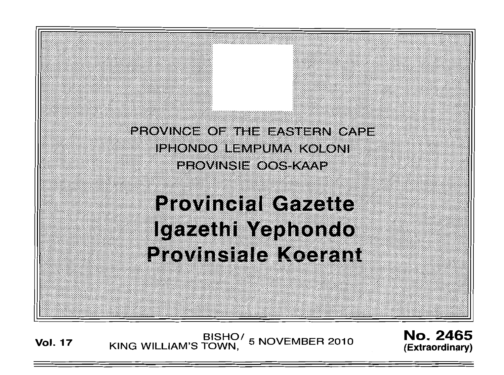

# **Provincial Gazette** Igazethi Yephondo **Provinsiale Koerant**

BISHO/ 5 NOVEMBER 2010<br>KING WILLIAM'S TOWN, **Vol. 17** 

No. 2465 (Extraordinary)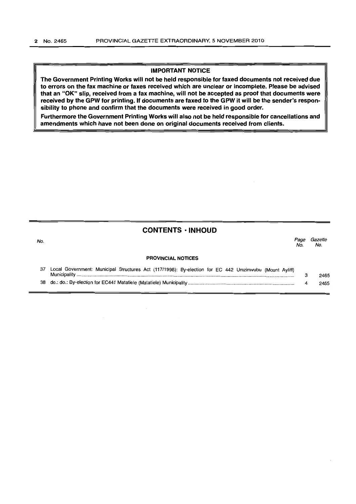#### **IMPORTANT NOTICE**

**The Government Printing Works will not be held responsible for faxed documents not received due to errors on the fax machine or faxes received which are unclear or incomplete. Please be advised that an "OK" slip, received from a fax machine, will not be accepted as proof that documents were received by the GPW for printing. If documents are faxed to the GPW it will be the sender's responsibility to phone and confirm that the documents were received in good order.** 

**Furthermore the Government Printing Works will also not be held responsible for cancellations and amendments which have not been done on original documents received from clients.** 

# **CONTENTS · INHOUD**

| No. |                                                                                                        | Page<br>No | Gazette<br>No. |
|-----|--------------------------------------------------------------------------------------------------------|------------|----------------|
|     | <b>PROVINCIAL NOTICES</b>                                                                              |            |                |
|     | Local Government: Municipal Structures Act (117/1998): By-election for EC 442 Umzimvubu (Mount Ayliff) | З          | 2465           |
| 38  |                                                                                                        |            | 2465           |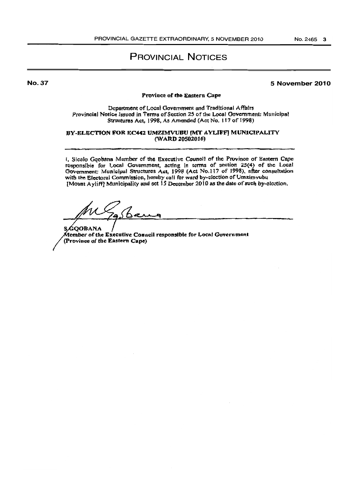# **PROVINCIAL NOTICES**

**No. 37** 

#### 5 November 2010

#### Province of the Eastern Cape

Department of Local Government and Traditional Affairs Provincial Notice Issued in Terms of Section 25 of the Looal Government: Municipal Structures Act, 1998, As Amended (Act No. 117 of 1998)

#### BY-ELECTION FOR EC442 UMZIMVUBU (MT AYLIFF) MUNICIPALITY (WARD 20502016)

i. Sicelo Ggobana Member of the Executive Council of the Province of Eastern Cape responsible for Local Government, acting in terms of section 25(4) of the Local Government: Municipal Structures Act, 1998 (Act No.117 of 1998), after consultation with the Electoral Commission, hereby call for ward by-election of Umzimvubu [Mount A yliff] Municipality and set 15 December 2010 as the date of such by-election.

ashaw

**SGOOBANA** Member of the Executive Conneil responsible for Local Government (Province of the Eastern Cape)